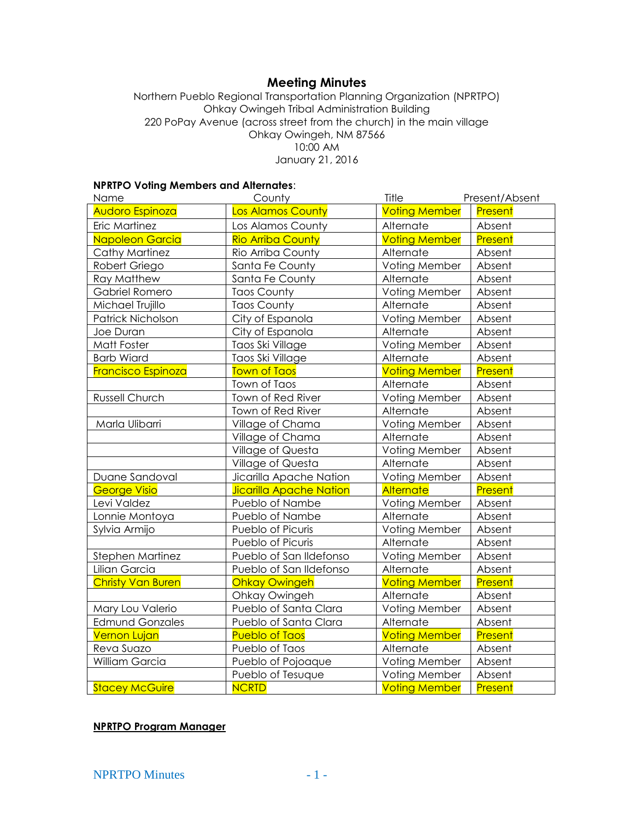# **Meeting Minutes**

Northern Pueblo Regional Transportation Planning Organization (NPRTPO) Ohkay Owingeh Tribal Administration Building 220 PoPay Avenue (across street from the church) in the main village Ohkay Owingeh, NM 87566 10:00 AM January 21, 2016

#### **NPRTPO Voting Members and Alternates**:

| Name                      | County                         | Title                | Present/Absent |
|---------------------------|--------------------------------|----------------------|----------------|
| Audoro Espinoza           | Los Alamos County              | <b>Voting Member</b> | Present        |
| Eric Martinez             | Los Alamos County              | Alternate            | Absent         |
| Napoleon Garcia           | <b>Rio Arriba County</b>       | <b>Voting Member</b> | Present        |
| Cathy Martinez            | Rio Arriba County              | Alternate            | Absent         |
| Robert Griego             | Santa Fe County                | Voting Member        | Absent         |
| <b>Ray Matthew</b>        | Santa Fe County                | Alternate            | Absent         |
| Gabriel Romero            | <b>Taos County</b>             | Voting Member        | Absent         |
| Michael Trujillo          | <b>Taos County</b>             | Alternate            | Absent         |
| Patrick Nicholson         | City of Espanola               | Voting Member        | Absent         |
| Joe Duran                 | City of Espanola               | Alternate            | Absent         |
| Matt Foster               | Taos Ski Village               | Voting Member        | Absent         |
| <b>Barb Wiard</b>         | Taos Ski Village               | Alternate            | Absent         |
| <b>Francisco Espinoza</b> | <b>Town of Taos</b>            | <b>Voting Member</b> | Present        |
|                           | Town of Taos                   | Alternate            | Absent         |
| Russell Church            | Town of Red River              | Voting Member        | Absent         |
|                           | Town of Red River              | Alternate            | Absent         |
| Marla Ulibarri            | Village of Chama               | Voting Member        | Absent         |
|                           | Village of Chama               | Alternate            | Absent         |
|                           | Village of Questa              | Voting Member        | Absent         |
|                           | Village of Questa              | Alternate            | Absent         |
| Duane Sandoval            | Jicarilla Apache Nation        | Voting Member        | Absent         |
| <b>George Visio</b>       | <b>Jicarilla Apache Nation</b> | Alternate            | Present        |
| Levi Valdez               | Pueblo of Nambe                | Voting Member        | Absent         |
| Lonnie Montoya            | Pueblo of Nambe                | Alternate            | Absent         |
| Sylvia Armijo             | Pueblo of Picuris              | Voting Member        | Absent         |
|                           | Pueblo of Picuris              | Alternate            | Absent         |
| <b>Stephen Martinez</b>   | Pueblo of San Ildefonso        | Voting Member        | Absent         |
| Lilian Garcia             | Pueblo of San Ildefonso        | Alternate            | Absent         |
| <b>Christy Van Buren</b>  | <b>Ohkay Owingeh</b>           | <b>Voting Member</b> | Present        |
|                           | Ohkay Owingeh                  | Alternate            | Absent         |
| Mary Lou Valerio          | Pueblo of Santa Clara          | Voting Member        | Absent         |
| <b>Edmund Gonzales</b>    | Pueblo of Santa Clara          | Alternate            | Absent         |
| <b>Vernon Lujan</b>       | <b>Pueblo of Taos</b>          | <b>Voting Member</b> | <b>Present</b> |
| Reva Suazo                | Pueblo of Taos                 | Alternate            | Absent         |
| William Garcia            | Pueblo of Pojoaque             | Voting Member        | Absent         |
|                           | Pueblo of Tesuque              | Voting Member        | Absent         |
| <b>Stacey McGuire</b>     | <b>NCRTD</b>                   | <b>Voting Member</b> | Present        |

#### **NPRTPO Program Manager**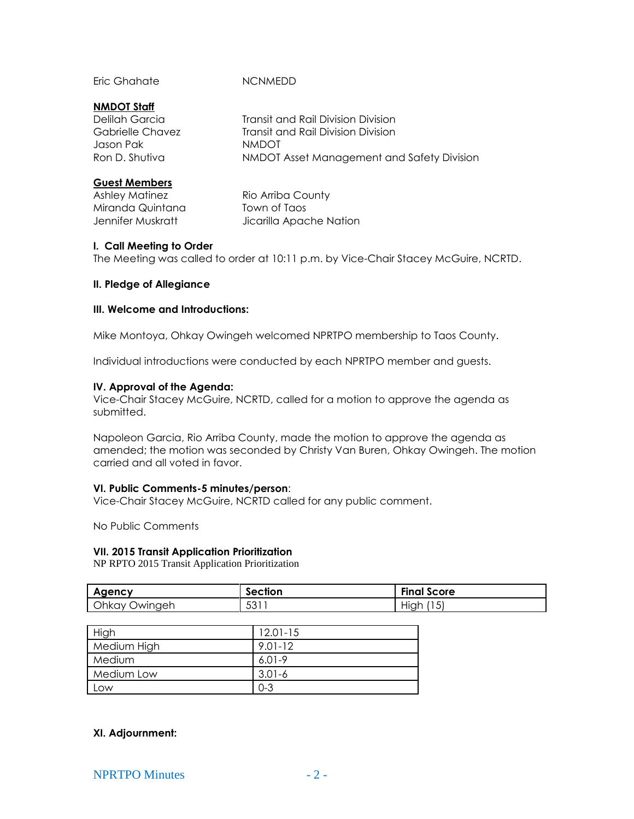Eric Ghahate NCNMEDD

#### **NMDOT Staff**

Jason Pak NMDOT

Delilah Garcia **Transit and Rail Division Division** Gabrielle Chavez Transit and Rail Division Division Ron D. Shutiva **NMDOT Asset Management and Safety Division** 

# **Guest Members**

Miranda Quintana Town of Taos

Ashley Matinez Rio Arriba County Jennifer Muskratt Jicarilla Apache Nation

## **I. Call Meeting to Order**

The Meeting was called to order at 10:11 p.m. by Vice-Chair Stacey McGuire, NCRTD.

## **II. Pledge of Allegiance**

## **III. Welcome and Introductions:**

Mike Montoya, Ohkay Owingeh welcomed NPRTPO membership to Taos County.

Individual introductions were conducted by each NPRTPO member and guests.

## **IV. Approval of the Agenda:**

Vice-Chair Stacey McGuire, NCRTD, called for a motion to approve the agenda as submitted.

Napoleon Garcia, Rio Arriba County, made the motion to approve the agenda as amended; the motion was seconded by Christy Van Buren, Ohkay Owingeh. The motion carried and all voted in favor.

## **VI. Public Comments-5 minutes/person**:

Vice-Chair Stacey McGuire, NCRTD called for any public comment.

No Public Comments

## **VII. 2015 Transit Application Prioritization**

NP RPTO 2015 Transit Application Prioritization

| Agency             | <b>Section</b> | <b>Final Score</b> |
|--------------------|----------------|--------------------|
| Ohkay (<br>Owingeh | 5311           | . High<br>∽<br>ື   |

| High        | $12.01 - 15$ |
|-------------|--------------|
| Medium High | 9.01-12      |
| Medium      | $6.01 - 9$   |
| Medium Low  | $3.01 - 6$   |
| Low         | $0 - 3$      |

# **XI. Adjournment:**

## NPRTPO Minutes - 2 -